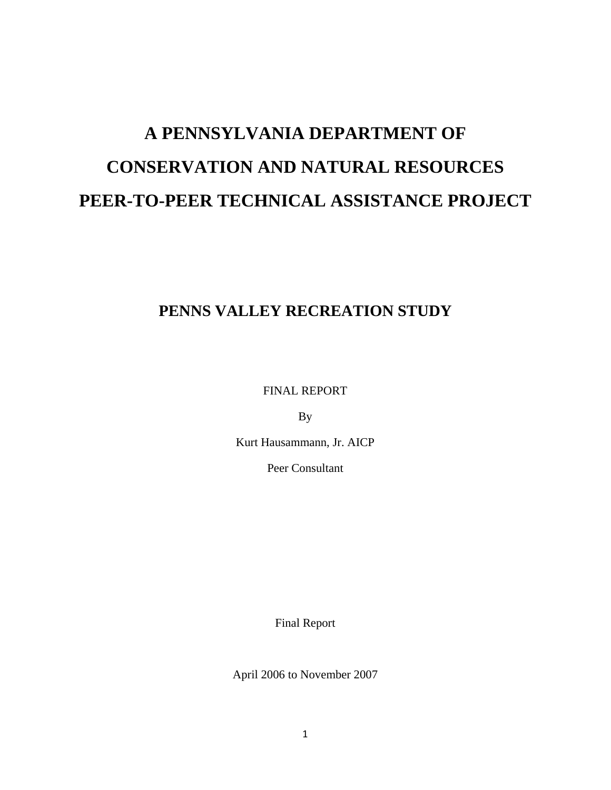# **A PENNSYLVANIA DEPARTMENT OF CONSERVATION AND NATURAL RESOURCES PEER-TO-PEER TECHNICAL ASSISTANCE PROJECT**

## **PENNS VALLEY RECREATION STUDY**

FINAL REPORT

By

Kurt Hausammann, Jr. AICP

Peer Consultant

Final Report

April 2006 to November 2007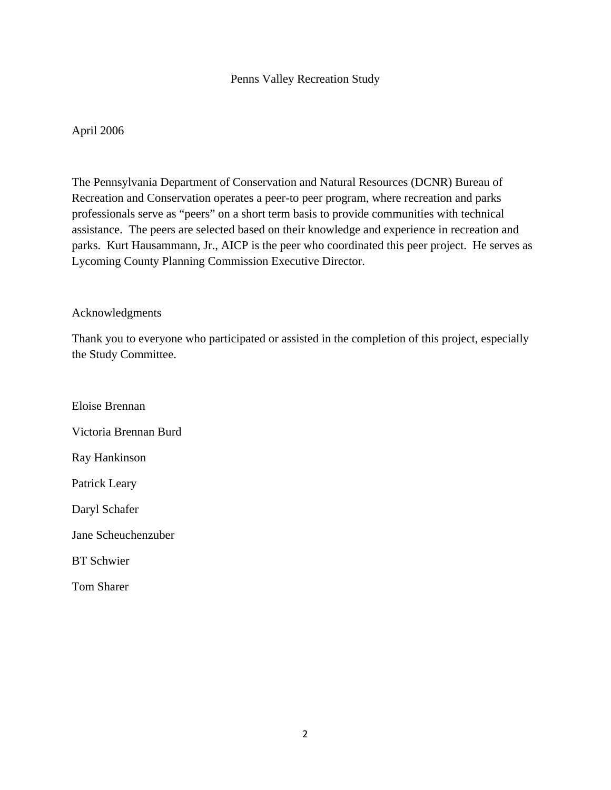## Penns Valley Recreation Study

## April 2006

The Pennsylvania Department of Conservation and Natural Resources (DCNR) Bureau of Recreation and Conservation operates a peer-to peer program, where recreation and parks professionals serve as "peers" on a short term basis to provide communities with technical assistance. The peers are selected based on their knowledge and experience in recreation and parks. Kurt Hausammann, Jr., AICP is the peer who coordinated this peer project. He serves as Lycoming County Planning Commission Executive Director.

### Acknowledgments

Thank you to everyone who participated or assisted in the completion of this project, especially the Study Committee.

Eloise Brennan Victoria Brennan Burd Ray Hankinson Patrick Leary Daryl Schafer Jane Scheuchenzuber BT Schwier

Tom Sharer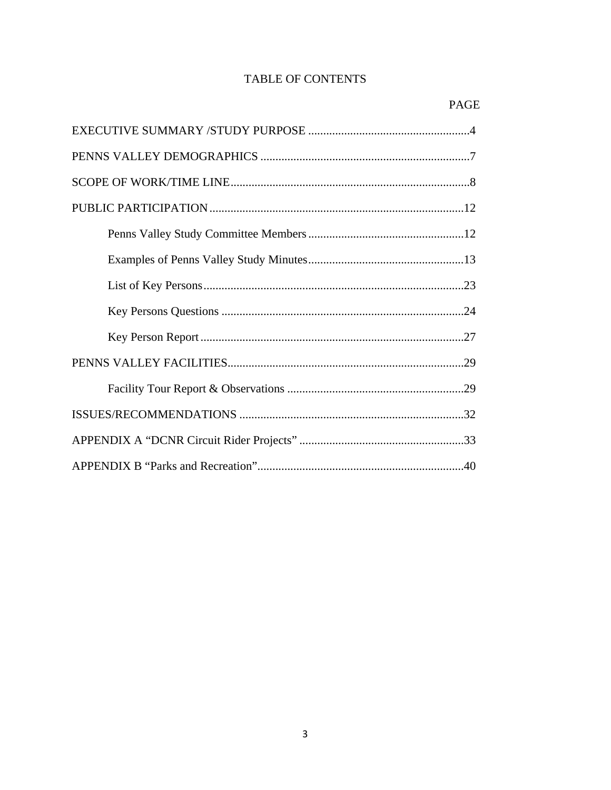## TABLE OF CONTENTS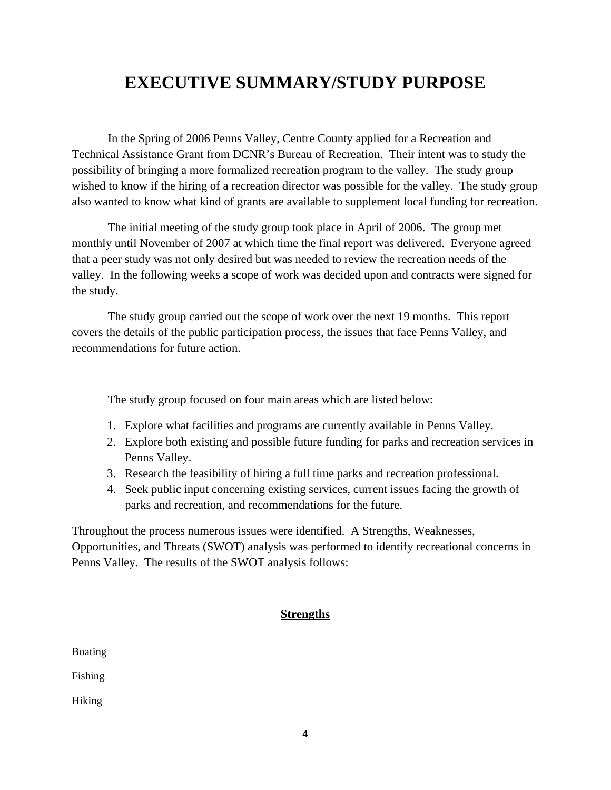# **EXECUTIVE SUMMARY/STUDY PURPOSE**

 In the Spring of 2006 Penns Valley, Centre County applied for a Recreation and Technical Assistance Grant from DCNR's Bureau of Recreation. Their intent was to study the possibility of bringing a more formalized recreation program to the valley. The study group wished to know if the hiring of a recreation director was possible for the valley. The study group also wanted to know what kind of grants are available to supplement local funding for recreation.

 The initial meeting of the study group took place in April of 2006. The group met monthly until November of 2007 at which time the final report was delivered. Everyone agreed that a peer study was not only desired but was needed to review the recreation needs of the valley. In the following weeks a scope of work was decided upon and contracts were signed for the study.

 The study group carried out the scope of work over the next 19 months. This report covers the details of the public participation process, the issues that face Penns Valley, and recommendations for future action.

The study group focused on four main areas which are listed below:

- 1. Explore what facilities and programs are currently available in Penns Valley.
- 2. Explore both existing and possible future funding for parks and recreation services in Penns Valley.
- 3. Research the feasibility of hiring a full time parks and recreation professional.
- 4. Seek public input concerning existing services, current issues facing the growth of parks and recreation, and recommendations for the future.

Throughout the process numerous issues were identified. A Strengths, Weaknesses, Opportunities, and Threats (SWOT) analysis was performed to identify recreational concerns in Penns Valley. The results of the SWOT analysis follows:

### **Strengths**

| <b>Boating</b> |  |
|----------------|--|
| Fishing        |  |
| Hiking         |  |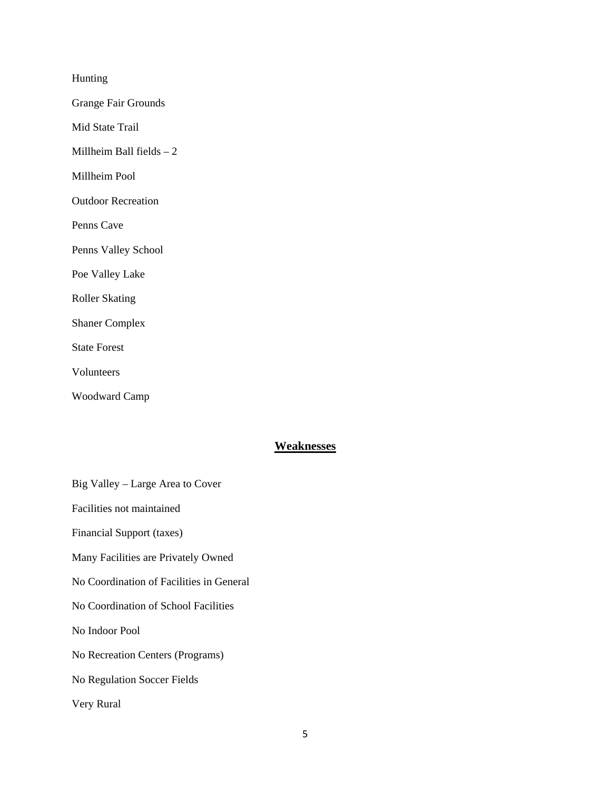Hunting

Grange Fair Grounds

Mid State Trail

Millheim Ball fields – 2

Millheim Pool

Outdoor Recreation

Penns Cave

Penns Valley School

Poe Valley Lake

Roller Skating

Shaner Complex

State Forest

Volunteers

Woodward Camp

## **Weaknesses**

Big Valley – Large Area to Cover Facilities not maintained Financial Support (taxes) Many Facilities are Privately Owned No Coordination of Facilities in General No Coordination of School Facilities No Indoor Pool No Recreation Centers (Programs) No Regulation Soccer Fields Very Rural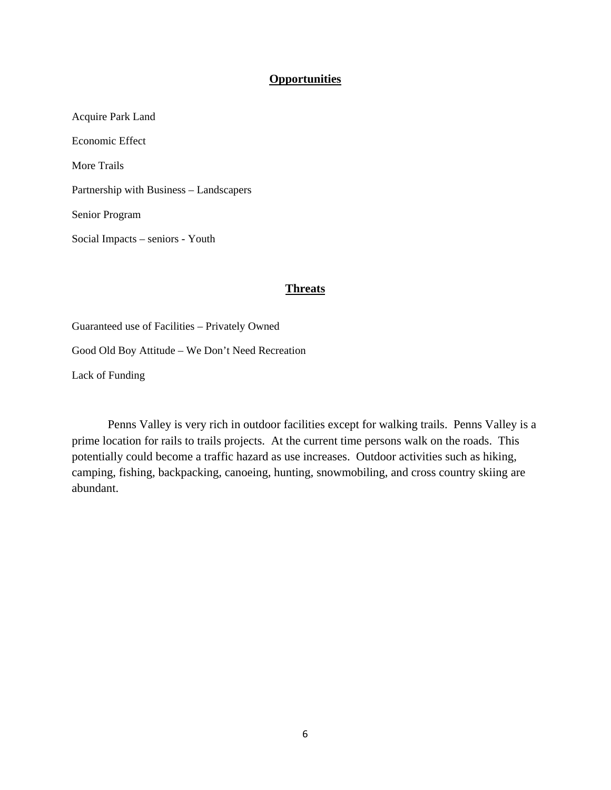#### **Opportunities**

Acquire Park Land Economic Effect More Trails Partnership with Business – Landscapers Senior Program Social Impacts – seniors - Youth

#### **Threats**

Guaranteed use of Facilities – Privately Owned Good Old Boy Attitude – We Don't Need Recreation Lack of Funding

 Penns Valley is very rich in outdoor facilities except for walking trails. Penns Valley is a prime location for rails to trails projects. At the current time persons walk on the roads. This potentially could become a traffic hazard as use increases. Outdoor activities such as hiking, camping, fishing, backpacking, canoeing, hunting, snowmobiling, and cross country skiing are abundant.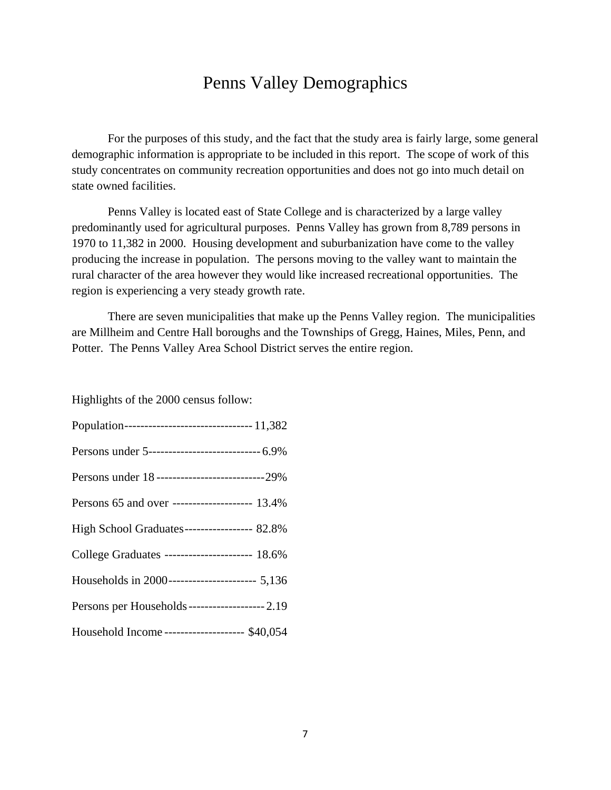## Penns Valley Demographics

 For the purposes of this study, and the fact that the study area is fairly large, some general demographic information is appropriate to be included in this report. The scope of work of this study concentrates on community recreation opportunities and does not go into much detail on state owned facilities.

 Penns Valley is located east of State College and is characterized by a large valley predominantly used for agricultural purposes. Penns Valley has grown from 8,789 persons in 1970 to 11,382 in 2000. Housing development and suburbanization have come to the valley producing the increase in population. The persons moving to the valley want to maintain the rural character of the area however they would like increased recreational opportunities. The region is experiencing a very steady growth rate.

 There are seven municipalities that make up the Penns Valley region. The municipalities are Millheim and Centre Hall boroughs and the Townships of Gregg, Haines, Miles, Penn, and Potter. The Penns Valley Area School District serves the entire region.

Highlights of the 2000 census follow:

| Persons under 5----------------------------- 6.9%  |
|----------------------------------------------------|
| Persons under 18 ------------------------------29% |
| Persons 65 and over -------------------- 13.4%     |
| High School Graduates----------------- 82.8%       |
| College Graduates ---------------------- 18.6%     |
| Households in 2000---------------------- 5,136     |
| Persons per Households-------------------- 2.19    |
| Household Income-------------------- \$40,054      |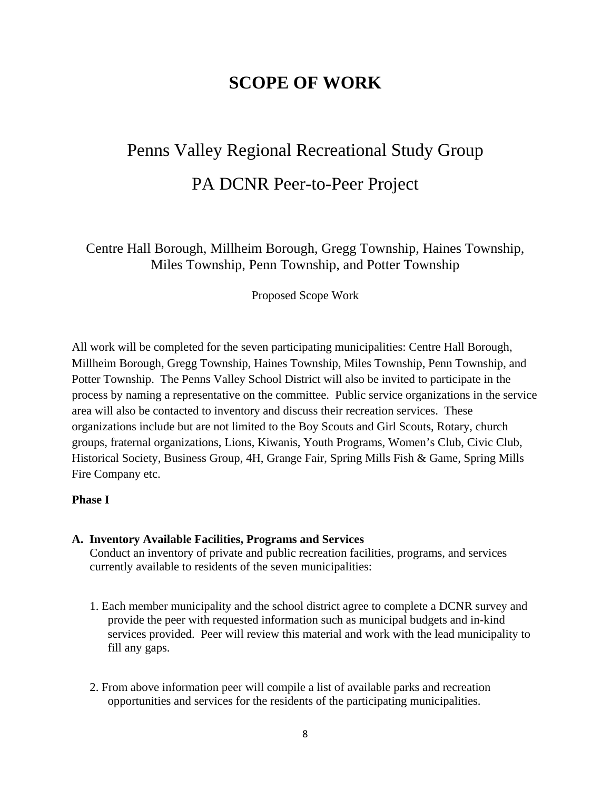## **SCOPE OF WORK**

# Penns Valley Regional Recreational Study Group PA DCNR Peer-to-Peer Project

Centre Hall Borough, Millheim Borough, Gregg Township, Haines Township, Miles Township, Penn Township, and Potter Township

Proposed Scope Work

All work will be completed for the seven participating municipalities: Centre Hall Borough, Millheim Borough, Gregg Township, Haines Township, Miles Township, Penn Township, and Potter Township. The Penns Valley School District will also be invited to participate in the process by naming a representative on the committee. Public service organizations in the service area will also be contacted to inventory and discuss their recreation services. These organizations include but are not limited to the Boy Scouts and Girl Scouts, Rotary, church groups, fraternal organizations, Lions, Kiwanis, Youth Programs, Women's Club, Civic Club, Historical Society, Business Group, 4H, Grange Fair, Spring Mills Fish & Game, Spring Mills Fire Company etc.

### **Phase I**

**A. Inventory Available Facilities, Programs and Services**  Conduct an inventory of private and public recreation facilities, programs, and services

currently available to residents of the seven municipalities:

- 1. Each member municipality and the school district agree to complete a DCNR survey and provide the peer with requested information such as municipal budgets and in-kind services provided. Peer will review this material and work with the lead municipality to fill any gaps.
- 2. From above information peer will compile a list of available parks and recreation opportunities and services for the residents of the participating municipalities.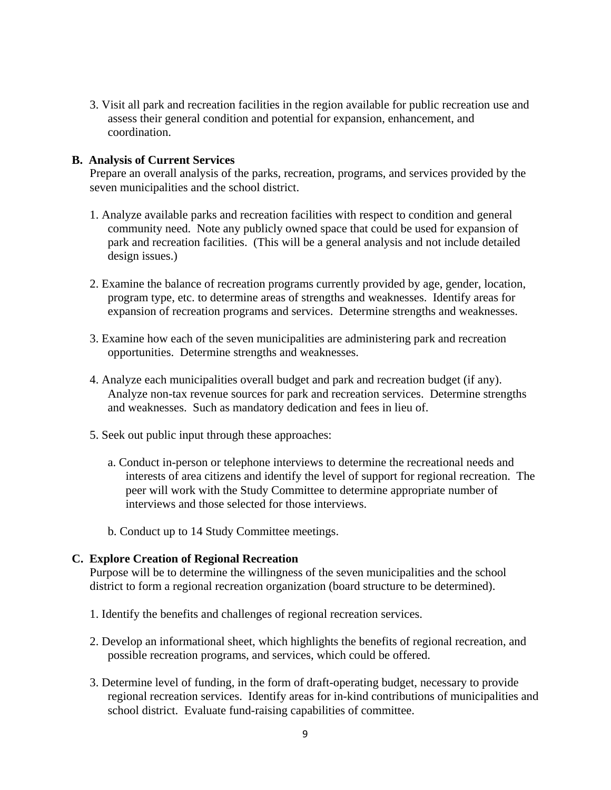3. Visit all park and recreation facilities in the region available for public recreation use and assess their general condition and potential for expansion, enhancement, and coordination.

#### **B. Analysis of Current Services**

Prepare an overall analysis of the parks, recreation, programs, and services provided by the seven municipalities and the school district.

- 1. Analyze available parks and recreation facilities with respect to condition and general community need. Note any publicly owned space that could be used for expansion of park and recreation facilities. (This will be a general analysis and not include detailed design issues.)
- 2. Examine the balance of recreation programs currently provided by age, gender, location, program type, etc. to determine areas of strengths and weaknesses. Identify areas for expansion of recreation programs and services. Determine strengths and weaknesses.
- 3. Examine how each of the seven municipalities are administering park and recreation opportunities. Determine strengths and weaknesses.
- 4. Analyze each municipalities overall budget and park and recreation budget (if any). Analyze non-tax revenue sources for park and recreation services. Determine strengths and weaknesses. Such as mandatory dedication and fees in lieu of.
- 5. Seek out public input through these approaches:
	- a. Conduct in-person or telephone interviews to determine the recreational needs and interests of area citizens and identify the level of support for regional recreation. The peer will work with the Study Committee to determine appropriate number of interviews and those selected for those interviews.
	- b. Conduct up to 14 Study Committee meetings.

#### **C. Explore Creation of Regional Recreation**

 Purpose will be to determine the willingness of the seven municipalities and the school district to form a regional recreation organization (board structure to be determined).

- 1. Identify the benefits and challenges of regional recreation services.
- 2. Develop an informational sheet, which highlights the benefits of regional recreation, and possible recreation programs, and services, which could be offered.
- 3. Determine level of funding, in the form of draft-operating budget, necessary to provide regional recreation services. Identify areas for in-kind contributions of municipalities and school district. Evaluate fund-raising capabilities of committee.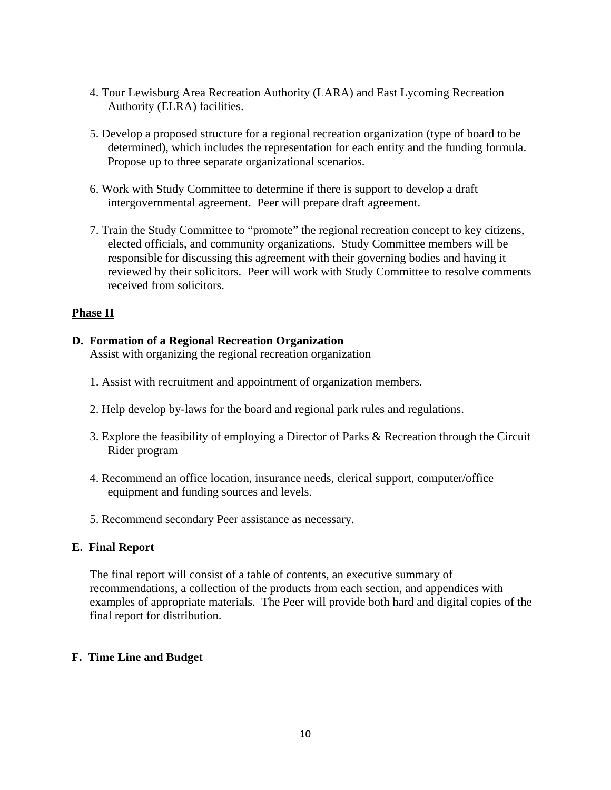- 4. Tour Lewisburg Area Recreation Authority (LARA) and East Lycoming Recreation Authority (ELRA) facilities.
- 5. Develop a proposed structure for a regional recreation organization (type of board to be determined), which includes the representation for each entity and the funding formula. Propose up to three separate organizational scenarios.
- 6. Work with Study Committee to determine if there is support to develop a draft intergovernmental agreement. Peer will prepare draft agreement.
- 7. Train the Study Committee to "promote" the regional recreation concept to key citizens, elected officials, and community organizations. Study Committee members will be responsible for discussing this agreement with their governing bodies and having it reviewed by their solicitors. Peer will work with Study Committee to resolve comments received from solicitors.

## **Phase II**

## **D. Formation of a Regional Recreation Organization**

Assist with organizing the regional recreation organization

- 1. Assist with recruitment and appointment of organization members.
- 2. Help develop by-laws for the board and regional park rules and regulations.
- 3. Explore the feasibility of employing a Director of Parks & Recreation through the Circuit Rider program
- 4. Recommend an office location, insurance needs, clerical support, computer/office equipment and funding sources and levels.
- 5. Recommend secondary Peer assistance as necessary.

### **E. Final Report**

 The final report will consist of a table of contents, an executive summary of recommendations, a collection of the products from each section, and appendices with examples of appropriate materials. The Peer will provide both hard and digital copies of the final report for distribution.

### **F. Time Line and Budget**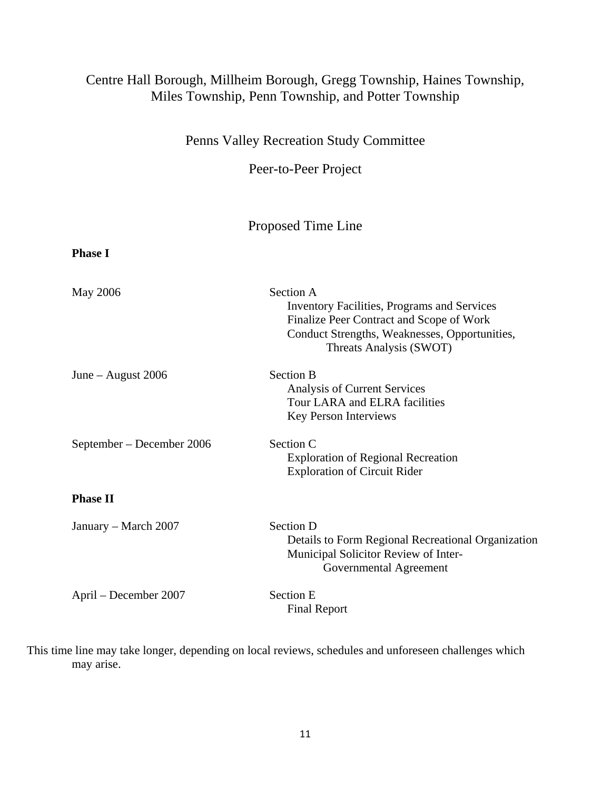## Centre Hall Borough, Millheim Borough, Gregg Township, Haines Township, Miles Township, Penn Township, and Potter Township

Penns Valley Recreation Study Committee

Peer-to-Peer Project

## Proposed Time Line

| <b>Phase I</b>            |                                                                                                                                                                                         |
|---------------------------|-----------------------------------------------------------------------------------------------------------------------------------------------------------------------------------------|
| May 2006                  | Section A<br><b>Inventory Facilities, Programs and Services</b><br>Finalize Peer Contract and Scope of Work<br>Conduct Strengths, Weaknesses, Opportunities,<br>Threats Analysis (SWOT) |
| June – August $2006$      | <b>Section B</b><br>Analysis of Current Services<br>Tour LARA and ELRA facilities<br>Key Person Interviews                                                                              |
| September – December 2006 | Section C<br><b>Exploration of Regional Recreation</b><br><b>Exploration of Circuit Rider</b>                                                                                           |
| <b>Phase II</b>           |                                                                                                                                                                                         |
| January – March 2007      | <b>Section D</b><br>Details to Form Regional Recreational Organization<br>Municipal Solicitor Review of Inter-<br>Governmental Agreement                                                |
| April – December 2007     | <b>Section E</b><br><b>Final Report</b>                                                                                                                                                 |

This time line may take longer, depending on local reviews, schedules and unforeseen challenges which may arise.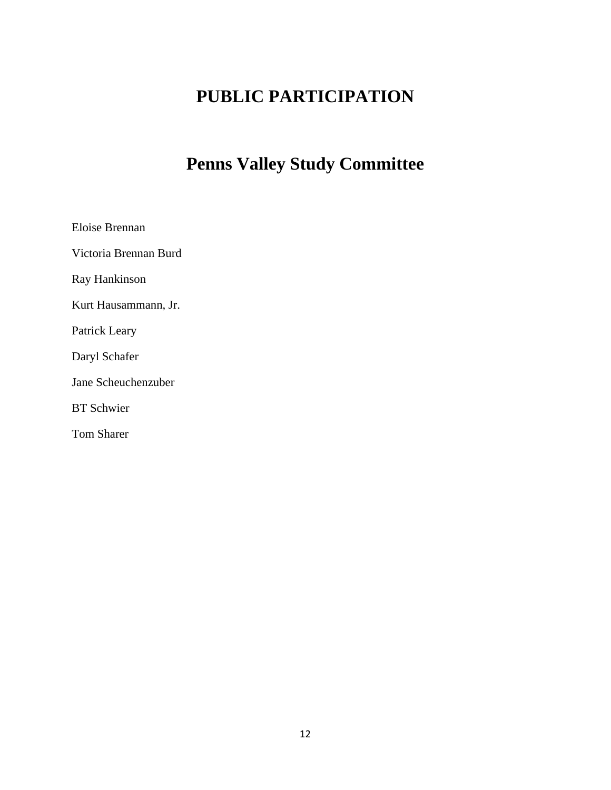# **PUBLIC PARTICIPATION**

# **Penns Valley Study Committee**

Eloise Brennan

Victoria Brennan Burd

Ray Hankinson

Kurt Hausammann, Jr.

Patrick Leary

Daryl Schafer

Jane Scheuchenzuber

BT Schwier

Tom Sharer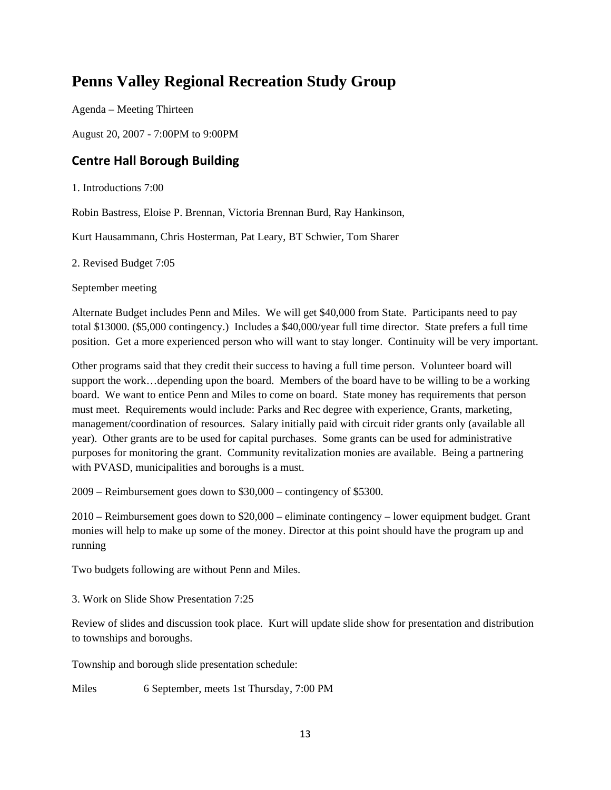## **Penns Valley Regional Recreation Study Group**

Agenda – Meeting Thirteen

August 20, 2007 - 7:00PM to 9:00PM

## **Centre Hall Borough Building**

1. Introductions 7:00

Robin Bastress, Eloise P. Brennan, Victoria Brennan Burd, Ray Hankinson,

Kurt Hausammann, Chris Hosterman, Pat Leary, BT Schwier, Tom Sharer

2. Revised Budget 7:05

September meeting

Alternate Budget includes Penn and Miles. We will get \$40,000 from State. Participants need to pay total \$13000. (\$5,000 contingency.) Includes a \$40,000/year full time director. State prefers a full time position. Get a more experienced person who will want to stay longer. Continuity will be very important.

Other programs said that they credit their success to having a full time person. Volunteer board will support the work…depending upon the board. Members of the board have to be willing to be a working board. We want to entice Penn and Miles to come on board. State money has requirements that person must meet. Requirements would include: Parks and Rec degree with experience, Grants, marketing, management/coordination of resources. Salary initially paid with circuit rider grants only (available all year). Other grants are to be used for capital purchases. Some grants can be used for administrative purposes for monitoring the grant. Community revitalization monies are available. Being a partnering with PVASD, municipalities and boroughs is a must.

2009 – Reimbursement goes down to \$30,000 – contingency of \$5300.

2010 – Reimbursement goes down to \$20,000 – eliminate contingency – lower equipment budget. Grant monies will help to make up some of the money. Director at this point should have the program up and running

Two budgets following are without Penn and Miles.

3. Work on Slide Show Presentation 7:25

Review of slides and discussion took place. Kurt will update slide show for presentation and distribution to townships and boroughs.

Township and borough slide presentation schedule:

Miles 6 September, meets 1st Thursday, 7:00 PM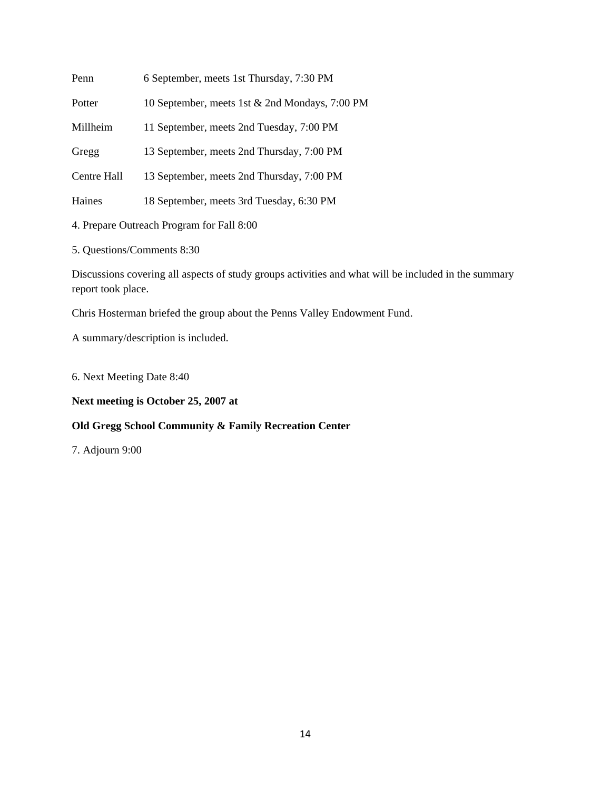| Penn        | 6 September, meets 1st Thursday, 7:30 PM       |
|-------------|------------------------------------------------|
| Potter      | 10 September, meets 1st & 2nd Mondays, 7:00 PM |
| Millheim    | 11 September, meets 2nd Tuesday, 7:00 PM       |
| Gregg       | 13 September, meets 2nd Thursday, 7:00 PM      |
| Centre Hall | 13 September, meets 2nd Thursday, 7:00 PM      |
| Haines      | 18 September, meets 3rd Tuesday, 6:30 PM       |
|             |                                                |

- 4. Prepare Outreach Program for Fall 8:00
- 5. Questions/Comments 8:30

Discussions covering all aspects of study groups activities and what will be included in the summary report took place.

Chris Hosterman briefed the group about the Penns Valley Endowment Fund.

A summary/description is included.

6. Next Meeting Date 8:40

### **Next meeting is October 25, 2007 at**

## **Old Gregg School Community & Family Recreation Center**

7. Adjourn 9:00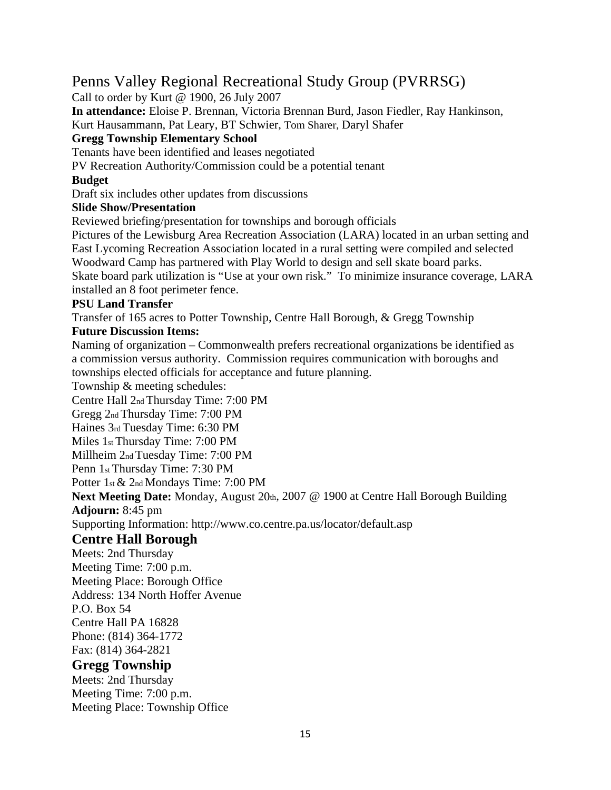## Penns Valley Regional Recreational Study Group (PVRRSG)

Call to order by Kurt @ 1900, 26 July 2007

**In attendance:** Eloise P. Brennan, Victoria Brennan Burd, Jason Fiedler, Ray Hankinson, Kurt Hausammann, Pat Leary, BT Schwier, Tom Sharer, Daryl Shafer

## **Gregg Township Elementary School**

Tenants have been identified and leases negotiated

PV Recreation Authority/Commission could be a potential tenant

## **Budget**

Draft six includes other updates from discussions

## **Slide Show/Presentation**

Reviewed briefing/presentation for townships and borough officials

Pictures of the Lewisburg Area Recreation Association (LARA) located in an urban setting and East Lycoming Recreation Association located in a rural setting were compiled and selected Woodward Camp has partnered with Play World to design and sell skate board parks. Skate board park utilization is "Use at your own risk." To minimize insurance coverage, LARA installed an 8 foot perimeter fence.

## **PSU Land Transfer**

Transfer of 165 acres to Potter Township, Centre Hall Borough, & Gregg Township

## **Future Discussion Items:**

Naming of organization – Commonwealth prefers recreational organizations be identified as a commission versus authority. Commission requires communication with boroughs and townships elected officials for acceptance and future planning.

Township & meeting schedules:

Centre Hall 2nd Thursday Time: 7:00 PM

Gregg 2nd Thursday Time: 7:00 PM

Haines 3rd Tuesday Time: 6:30 PM

Miles 1st Thursday Time: 7:00 PM

Millheim 2nd Tuesday Time: 7:00 PM

Penn 1st Thursday Time: 7:30 PM

Potter 1st & 2nd Mondays Time: 7:00 PM

Next Meeting Date: Monday, August 20th, 2007 @ 1900 at Centre Hall Borough Building **Adjourn:** 8:45 pm

Supporting Information: http://www.co.centre.pa.us/locator/default.asp

## **Centre Hall Borough**

Meets: 2nd Thursday Meeting Time: 7:00 p.m. Meeting Place: Borough Office Address: 134 North Hoffer Avenue P.O. Box 54 Centre Hall PA 16828 Phone: (814) 364-1772

Fax: (814) 364-2821

## **Gregg Township**

Meets: 2nd Thursday Meeting Time: 7:00 p.m. Meeting Place: Township Office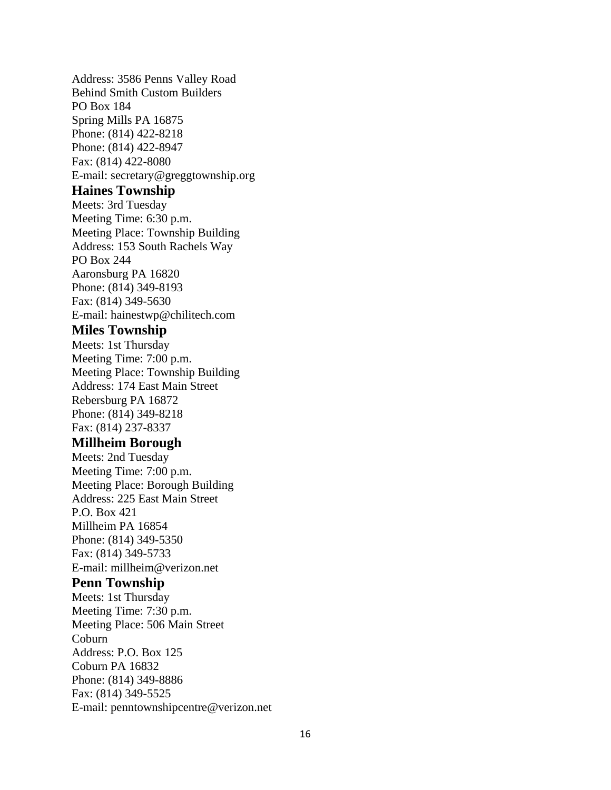Address: 3586 Penns Valley Road Behind Smith Custom Builders PO Box 184 Spring Mills PA 16875 Phone: (814) 422-8218 Phone: (814) 422-8947 Fax: (814) 422-8080 E-mail: secretary@greggtownship.org

#### **Haines Township**

Meets: 3rd Tuesday Meeting Time: 6:30 p.m. Meeting Place: Township Building Address: 153 South Rachels Way PO Box 244 Aaronsburg PA 16820 Phone: (814) 349-8193 Fax: (814) 349-5630 E-mail: hainestwp@chilitech.com

## **Miles Township**

Meets: 1st Thursday Meeting Time: 7:00 p.m. Meeting Place: Township Building Address: 174 East Main Street Rebersburg PA 16872 Phone: (814) 349-8218 Fax: (814) 237-8337

## **Millheim Borough**

Meets: 2nd Tuesday Meeting Time: 7:00 p.m. Meeting Place: Borough Building Address: 225 East Main Street P.O. Box 421 Millheim PA 16854 Phone: (814) 349-5350 Fax: (814) 349-5733 E-mail: millheim@verizon.net

### **Penn Township**

Meets: 1st Thursday Meeting Time: 7:30 p.m. Meeting Place: 506 Main Street Coburn Address: P.O. Box 125 Coburn PA 16832 Phone: (814) 349-8886 Fax: (814) 349-5525 E-mail: penntownshipcentre@verizon.net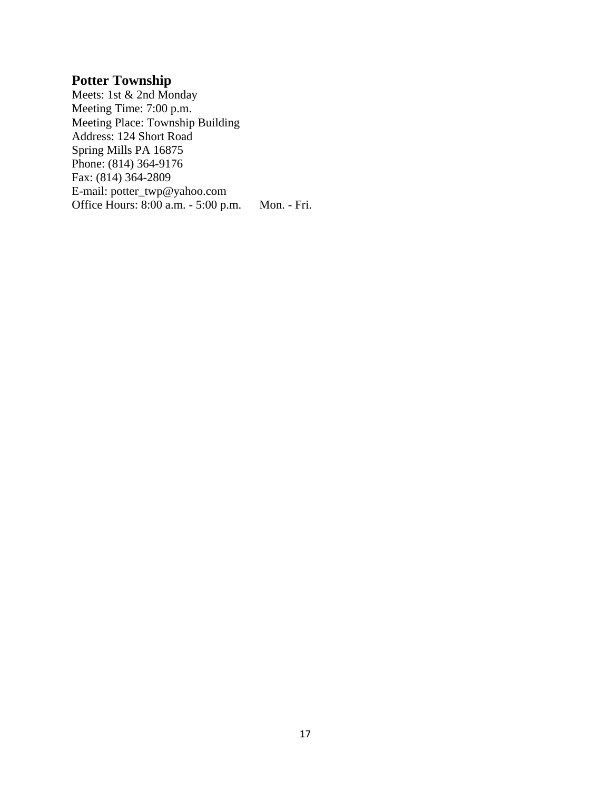## **Potter Township**

Meets: 1st & 2nd Monday Meeting Time: 7:00 p.m. Meeting Place: Township Building Address: 124 Short Road Spring Mills PA 16875 Phone: (814) 364-9176 Fax: (814) 364-2809 E-mail: potter\_twp@yahoo.com Office Hours: 8:00 a.m. - 5:00 p.m. Mon. - Fri.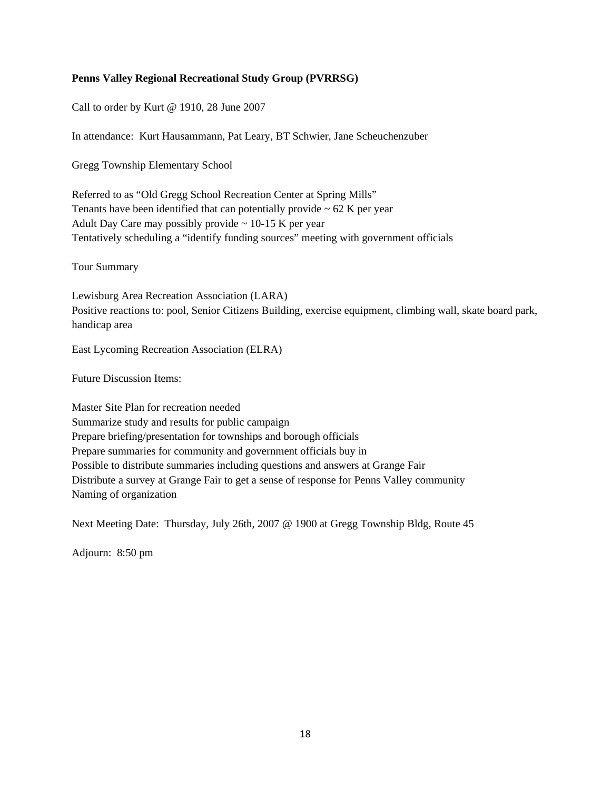#### **Penns Valley Regional Recreational Study Group (PVRRSG)**

Call to order by Kurt @ 1910, 28 June 2007

In attendance: Kurt Hausammann, Pat Leary, BT Schwier, Jane Scheuchenzuber

Gregg Township Elementary School

Referred to as "Old Gregg School Recreation Center at Spring Mills" Tenants have been identified that can potentially provide  $\sim$  62 K per year Adult Day Care may possibly provide  $\sim$  10-15 K per year Tentatively scheduling a "identify funding sources" meeting with government officials

Tour Summary

Lewisburg Area Recreation Association (LARA) Positive reactions to: pool, Senior Citizens Building, exercise equipment, climbing wall, skate board park, handicap area

East Lycoming Recreation Association (ELRA)

Future Discussion Items:

Master Site Plan for recreation needed Summarize study and results for public campaign Prepare briefing/presentation for townships and borough officials Prepare summaries for community and government officials buy in Possible to distribute summaries including questions and answers at Grange Fair Distribute a survey at Grange Fair to get a sense of response for Penns Valley community Naming of organization

Next Meeting Date: Thursday, July 26th, 2007 @ 1900 at Gregg Township Bldg, Route 45

Adjourn: 8:50 pm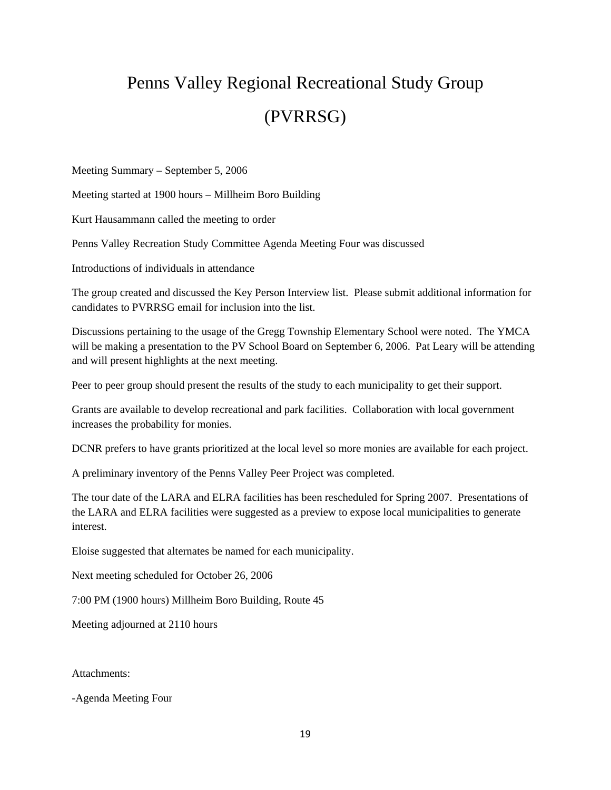# Penns Valley Regional Recreational Study Group (PVRRSG)

Meeting Summary – September 5, 2006

Meeting started at 1900 hours – Millheim Boro Building

Kurt Hausammann called the meeting to order

Penns Valley Recreation Study Committee Agenda Meeting Four was discussed

Introductions of individuals in attendance

The group created and discussed the Key Person Interview list. Please submit additional information for candidates to PVRRSG email for inclusion into the list.

Discussions pertaining to the usage of the Gregg Township Elementary School were noted. The YMCA will be making a presentation to the PV School Board on September 6, 2006. Pat Leary will be attending and will present highlights at the next meeting.

Peer to peer group should present the results of the study to each municipality to get their support.

Grants are available to develop recreational and park facilities. Collaboration with local government increases the probability for monies.

DCNR prefers to have grants prioritized at the local level so more monies are available for each project.

A preliminary inventory of the Penns Valley Peer Project was completed.

The tour date of the LARA and ELRA facilities has been rescheduled for Spring 2007. Presentations of the LARA and ELRA facilities were suggested as a preview to expose local municipalities to generate interest.

Eloise suggested that alternates be named for each municipality.

Next meeting scheduled for October 26, 2006

7:00 PM (1900 hours) Millheim Boro Building, Route 45

Meeting adjourned at 2110 hours

Attachments:

-Agenda Meeting Four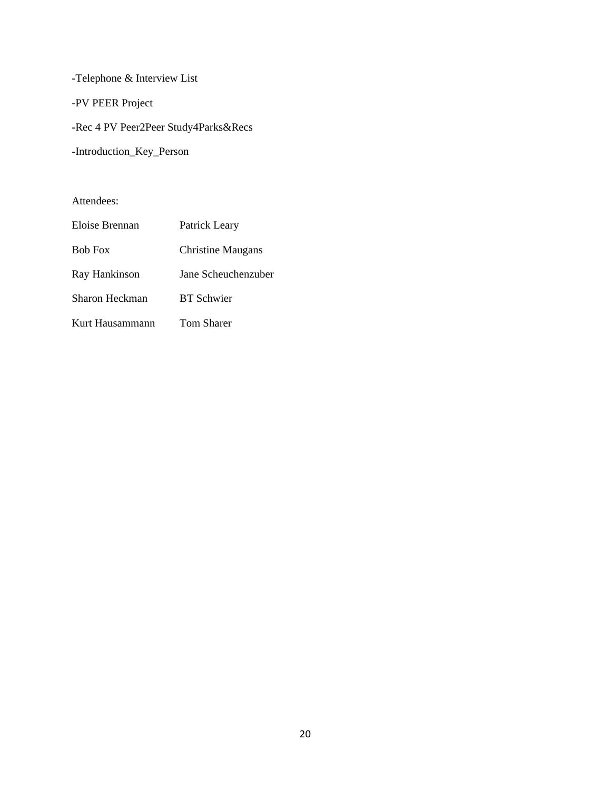-Telephone & Interview List -PV PEER Project -Rec 4 PV Peer2Peer Study4Parks&Recs -Introduction\_Key\_Person

Attendees:

| Eloise Brennan  | Patrick Leary            |
|-----------------|--------------------------|
| <b>Bob Fox</b>  | <b>Christine Maugans</b> |
| Ray Hankinson   | Jane Scheuchenzuber      |
| Sharon Heckman  | <b>BT</b> Schwier        |
| Kurt Hausammann | <b>Tom Sharer</b>        |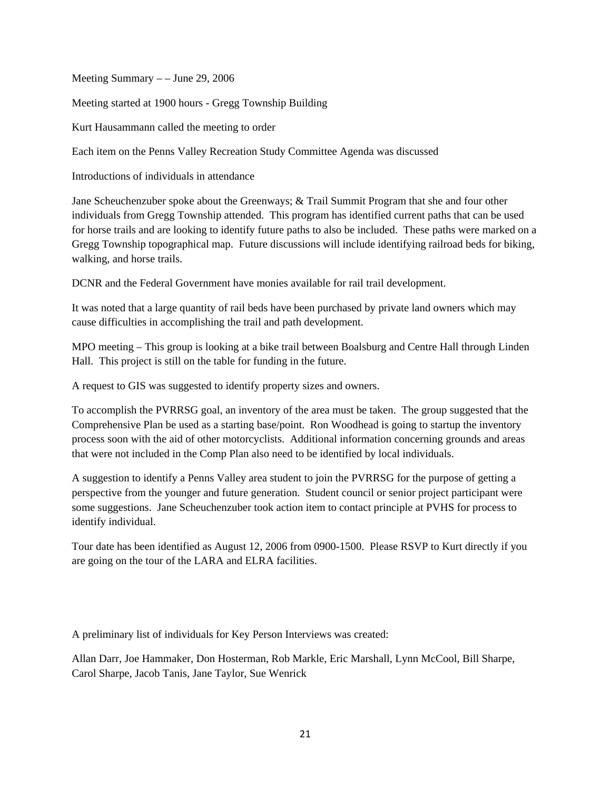Meeting Summary  $-$  – June 29, 2006

Meeting started at 1900 hours - Gregg Township Building

Kurt Hausammann called the meeting to order

Each item on the Penns Valley Recreation Study Committee Agenda was discussed

Introductions of individuals in attendance

Jane Scheuchenzuber spoke about the Greenways; & Trail Summit Program that she and four other individuals from Gregg Township attended. This program has identified current paths that can be used for horse trails and are looking to identify future paths to also be included. These paths were marked on a Gregg Township topographical map. Future discussions will include identifying railroad beds for biking, walking, and horse trails.

DCNR and the Federal Government have monies available for rail trail development.

It was noted that a large quantity of rail beds have been purchased by private land owners which may cause difficulties in accomplishing the trail and path development.

MPO meeting – This group is looking at a bike trail between Boalsburg and Centre Hall through Linden Hall. This project is still on the table for funding in the future.

A request to GIS was suggested to identify property sizes and owners.

To accomplish the PVRRSG goal, an inventory of the area must be taken. The group suggested that the Comprehensive Plan be used as a starting base/point. Ron Woodhead is going to startup the inventory process soon with the aid of other motorcyclists. Additional information concerning grounds and areas that were not included in the Comp Plan also need to be identified by local individuals.

A suggestion to identify a Penns Valley area student to join the PVRRSG for the purpose of getting a perspective from the younger and future generation. Student council or senior project participant were some suggestions. Jane Scheuchenzuber took action item to contact principle at PVHS for process to identify individual.

Tour date has been identified as August 12, 2006 from 0900-1500. Please RSVP to Kurt directly if you are going on the tour of the LARA and ELRA facilities.

A preliminary list of individuals for Key Person Interviews was created:

Allan Darr, Joe Hammaker, Don Hosterman, Rob Markle, Eric Marshall, Lynn McCool, Bill Sharpe, Carol Sharpe, Jacob Tanis, Jane Taylor, Sue Wenrick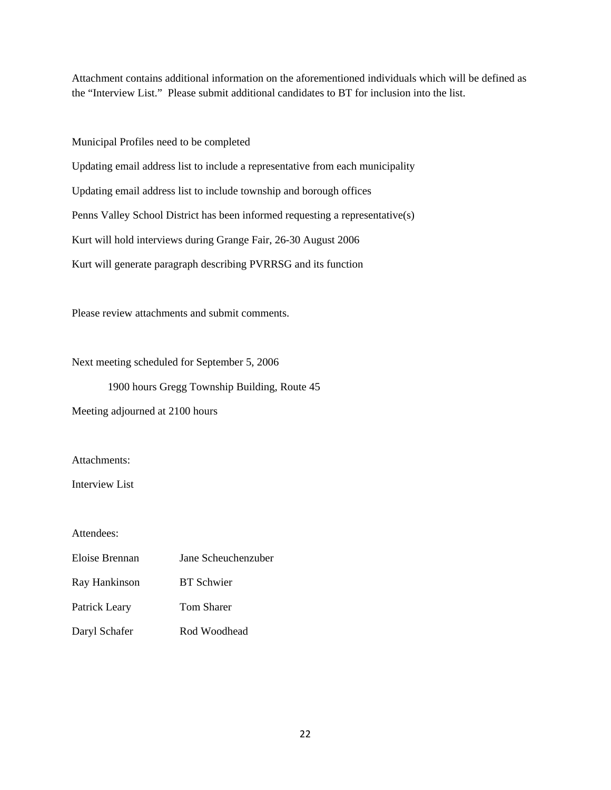Attachment contains additional information on the aforementioned individuals which will be defined as the "Interview List." Please submit additional candidates to BT for inclusion into the list.

Municipal Profiles need to be completed Updating email address list to include a representative from each municipality Updating email address list to include township and borough offices Penns Valley School District has been informed requesting a representative(s) Kurt will hold interviews during Grange Fair, 26-30 August 2006 Kurt will generate paragraph describing PVRRSG and its function

Please review attachments and submit comments.

Next meeting scheduled for September 5, 2006

1900 hours Gregg Township Building, Route 45

Meeting adjourned at 2100 hours

Attachments:

Interview List

Attendees:

| Eloise Brennan | Jane Scheuchenzuber |  |
|----------------|---------------------|--|
| Ray Hankinson  | <b>BT</b> Schwier   |  |
| Patrick Leary  | <b>Tom Sharer</b>   |  |
| Daryl Schafer  | Rod Woodhead        |  |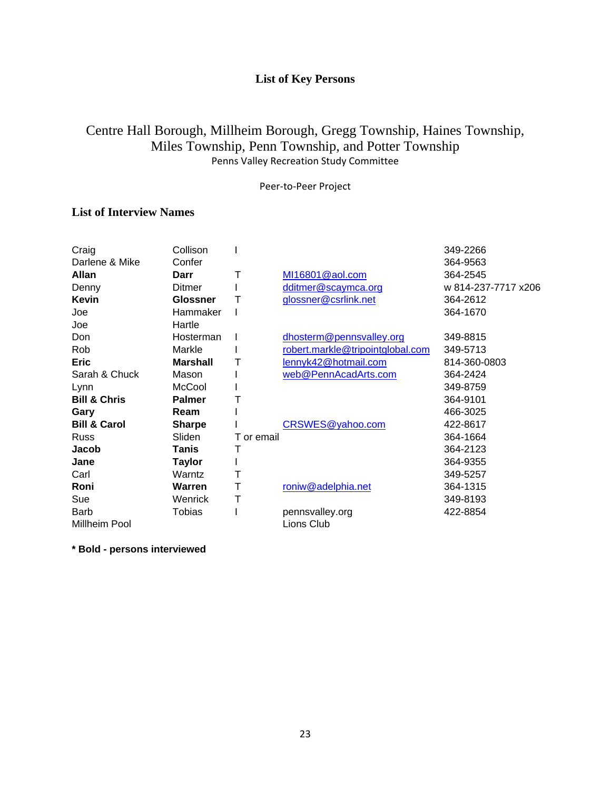## **List of Key Persons**

## Centre Hall Borough, Millheim Borough, Gregg Township, Haines Township, Miles Township, Penn Township, and Potter Township Penns Valley Recreation Study Committee

Peer‐to‐Peer Project

## **List of Interview Names**

| Craig                   | Collison        |            |                                  | 349-2266            |
|-------------------------|-----------------|------------|----------------------------------|---------------------|
| Darlene & Mike          | Confer          |            |                                  | 364-9563            |
| <b>Allan</b>            | Darr            | Т          | MI16801@aol.com                  | 364-2545            |
| Denny                   | Ditmer          |            | dditmer@scaymca.org              | w 814-237-7717 x206 |
| Kevin                   | <b>Glossner</b> |            | glossner@csrlink.net             | 364-2612            |
| Joe                     | Hammaker        |            |                                  | 364-1670            |
| Joe                     | Hartle          |            |                                  |                     |
| Don                     | Hosterman       |            | dhosterm@pennsvalley.org         | 349-8815            |
| Rob                     | Markle          |            | robert.markle@tripointglobal.com | 349-5713            |
| <b>Eric</b>             | <b>Marshall</b> |            | lennyk42@hotmail.com             | 814-360-0803        |
| Sarah & Chuck           | Mason           |            | web@PennAcadArts.com             | 364-2424            |
| Lynn                    | McCool          |            |                                  | 349-8759            |
| <b>Bill &amp; Chris</b> | <b>Palmer</b>   | Т          |                                  | 364-9101            |
| Gary                    | Ream            |            |                                  | 466-3025            |
| <b>Bill &amp; Carol</b> | <b>Sharpe</b>   |            | CRSWES@yahoo.com                 | 422-8617            |
| Russ                    | Sliden          | T or email |                                  | 364-1664            |
| Jacob                   | Tanis           | T          |                                  | 364-2123            |
| Jane                    | <b>Taylor</b>   |            |                                  | 364-9355            |
| Carl                    | Warntz          | Т          |                                  | 349-5257            |
| Roni                    | Warren          | Т          | roniw@adelphia.net               | 364-1315            |
| Sue                     | Wenrick         | Т          |                                  | 349-8193            |
| <b>Barb</b>             | Tobias          |            | pennsvalley.org                  | 422-8854            |
| Millheim Pool           |                 |            | Lions Club                       |                     |

**\* Bold - persons interviewed**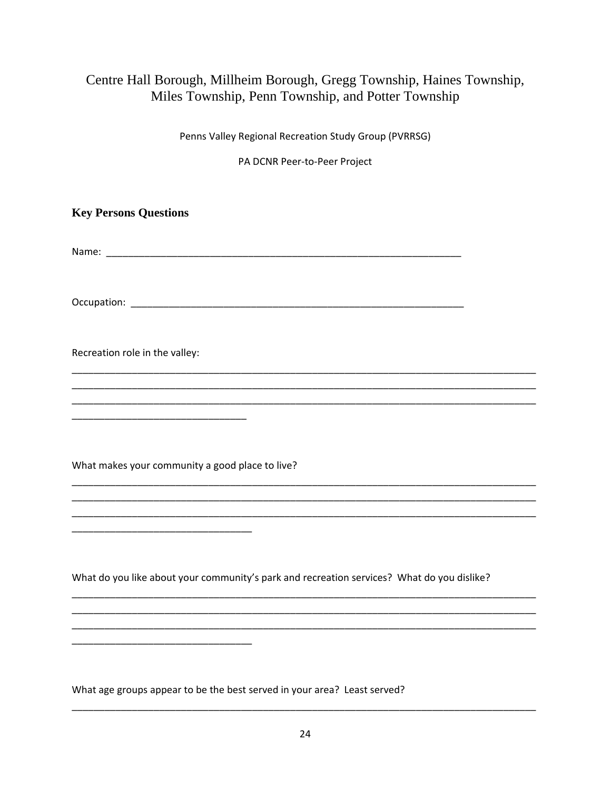## Centre Hall Borough, Millheim Borough, Gregg Township, Haines Township, Miles Township, Penn Township, and Potter Township

Penns Valley Regional Recreation Study Group (PVRRSG)

PA DCNR Peer-to-Peer Project

**Key Persons Questions** 

Recreation role in the valley:

What makes your community a good place to live?

What do you like about your community's park and recreation services? What do you dislike?

What age groups appear to be the best served in your area? Least served?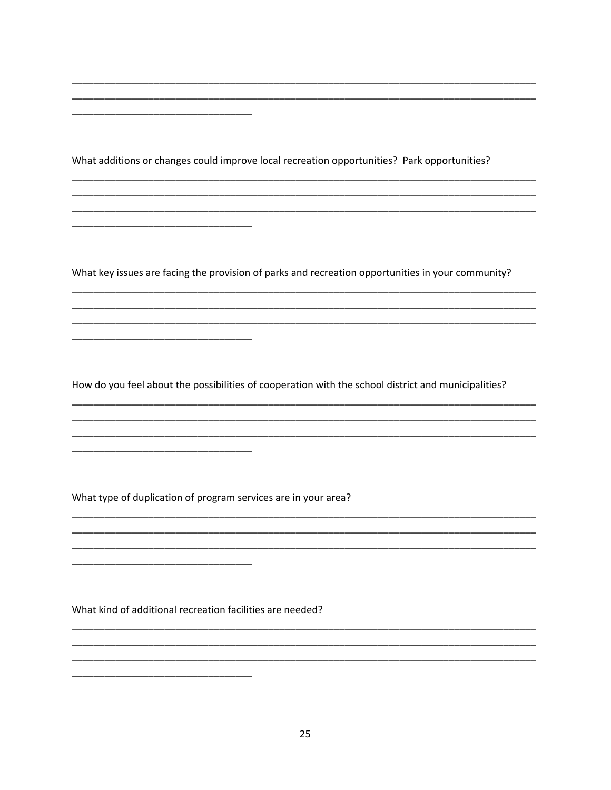What additions or changes could improve local recreation opportunities? Park opportunities?

What key issues are facing the provision of parks and recreation opportunities in your community?

How do you feel about the possibilities of cooperation with the school district and municipalities?

 $\overline{\phantom{0}}$ 

What type of duplication of program services are in your area?

\_\_\_\_\_\_\_\_\_\_\_\_\_\_\_\_\_\_\_\_\_\_\_\_\_\_\_\_\_\_

What kind of additional recreation facilities are needed?

 $\overline{\phantom{0}}$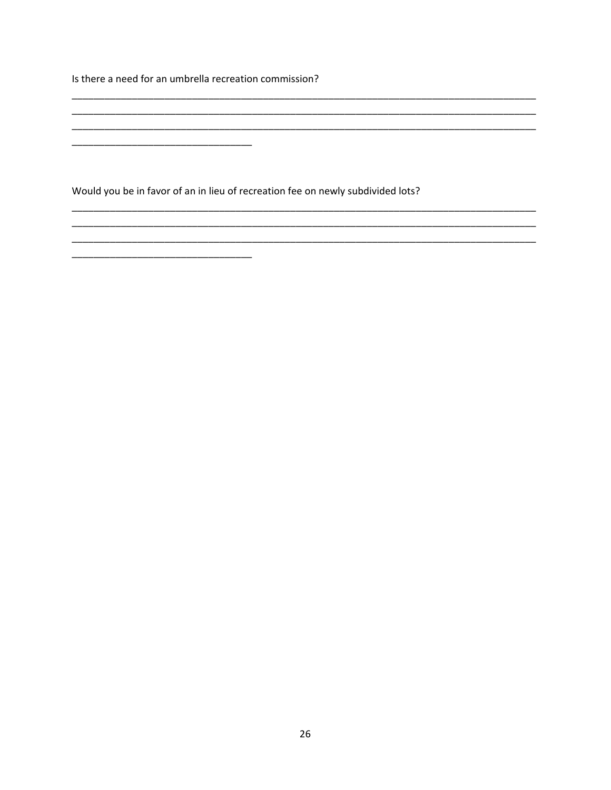Is there a need for an umbrella recreation commission?

Would you be in favor of an in lieu of recreation fee on newly subdivided lots?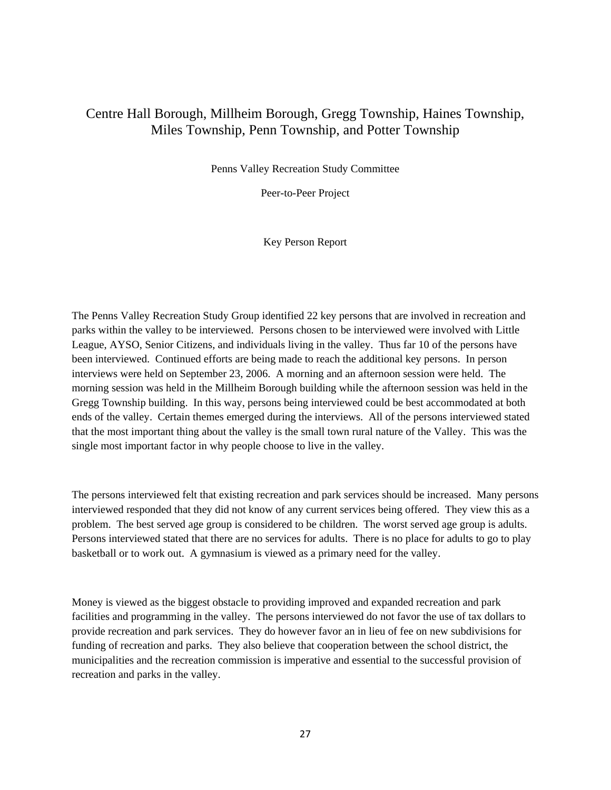## Centre Hall Borough, Millheim Borough, Gregg Township, Haines Township, Miles Township, Penn Township, and Potter Township

Penns Valley Recreation Study Committee

Peer-to-Peer Project

Key Person Report

The Penns Valley Recreation Study Group identified 22 key persons that are involved in recreation and parks within the valley to be interviewed. Persons chosen to be interviewed were involved with Little League, AYSO, Senior Citizens, and individuals living in the valley. Thus far 10 of the persons have been interviewed. Continued efforts are being made to reach the additional key persons. In person interviews were held on September 23, 2006. A morning and an afternoon session were held. The morning session was held in the Millheim Borough building while the afternoon session was held in the Gregg Township building. In this way, persons being interviewed could be best accommodated at both ends of the valley. Certain themes emerged during the interviews. All of the persons interviewed stated that the most important thing about the valley is the small town rural nature of the Valley. This was the single most important factor in why people choose to live in the valley.

The persons interviewed felt that existing recreation and park services should be increased. Many persons interviewed responded that they did not know of any current services being offered. They view this as a problem. The best served age group is considered to be children. The worst served age group is adults. Persons interviewed stated that there are no services for adults. There is no place for adults to go to play basketball or to work out. A gymnasium is viewed as a primary need for the valley.

Money is viewed as the biggest obstacle to providing improved and expanded recreation and park facilities and programming in the valley. The persons interviewed do not favor the use of tax dollars to provide recreation and park services. They do however favor an in lieu of fee on new subdivisions for funding of recreation and parks. They also believe that cooperation between the school district, the municipalities and the recreation commission is imperative and essential to the successful provision of recreation and parks in the valley.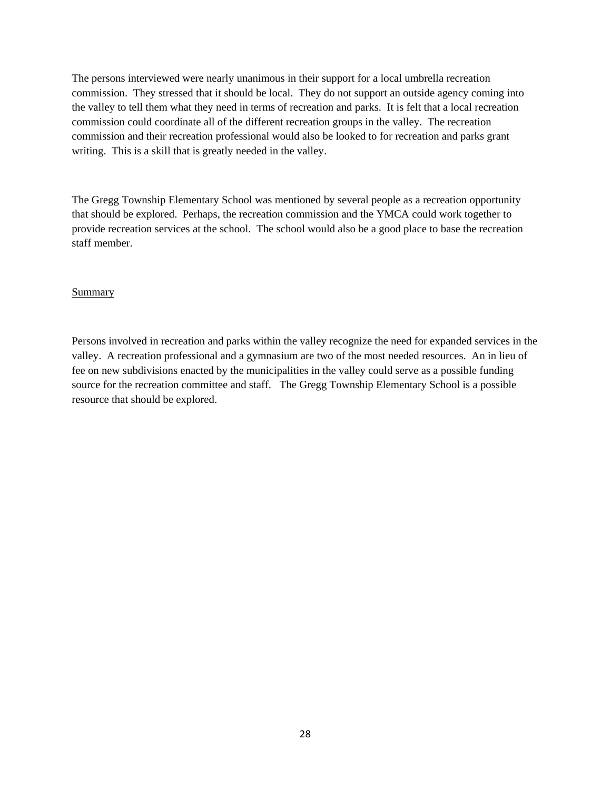The persons interviewed were nearly unanimous in their support for a local umbrella recreation commission. They stressed that it should be local. They do not support an outside agency coming into the valley to tell them what they need in terms of recreation and parks. It is felt that a local recreation commission could coordinate all of the different recreation groups in the valley. The recreation commission and their recreation professional would also be looked to for recreation and parks grant writing. This is a skill that is greatly needed in the valley.

The Gregg Township Elementary School was mentioned by several people as a recreation opportunity that should be explored. Perhaps, the recreation commission and the YMCA could work together to provide recreation services at the school. The school would also be a good place to base the recreation staff member.

#### Summary

Persons involved in recreation and parks within the valley recognize the need for expanded services in the valley. A recreation professional and a gymnasium are two of the most needed resources. An in lieu of fee on new subdivisions enacted by the municipalities in the valley could serve as a possible funding source for the recreation committee and staff. The Gregg Township Elementary School is a possible resource that should be explored.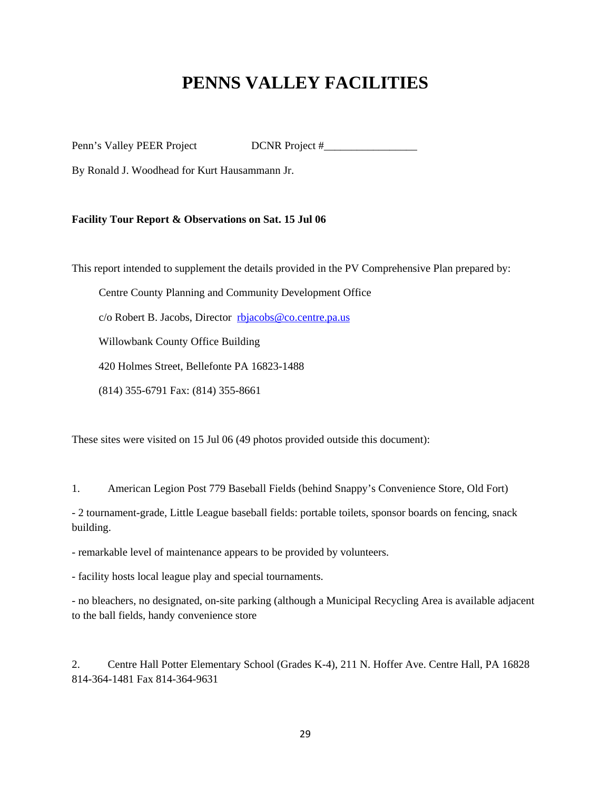# **PENNS VALLEY FACILITIES**

Penn's Valley PEER Project DCNR Project #\_\_\_\_\_\_\_\_\_\_\_\_\_\_\_\_\_

By Ronald J. Woodhead for Kurt Hausammann Jr.

#### **Facility Tour Report & Observations on Sat. 15 Jul 06**

This report intended to supplement the details provided in the PV Comprehensive Plan prepared by:

Centre County Planning and Community Development Office

c/o Robert B. Jacobs, Director rbjacobs@co.centre.pa.us

Willowbank County Office Building

420 Holmes Street, Bellefonte PA 16823-1488

(814) 355-6791 Fax: (814) 355-8661

These sites were visited on 15 Jul 06 (49 photos provided outside this document):

1. American Legion Post 779 Baseball Fields (behind Snappy's Convenience Store, Old Fort)

- 2 tournament-grade, Little League baseball fields: portable toilets, sponsor boards on fencing, snack building.

- remarkable level of maintenance appears to be provided by volunteers.

- facility hosts local league play and special tournaments.

- no bleachers, no designated, on-site parking (although a Municipal Recycling Area is available adjacent to the ball fields, handy convenience store

2. Centre Hall Potter Elementary School (Grades K-4), 211 N. Hoffer Ave. Centre Hall, PA 16828 814-364-1481 Fax 814-364-9631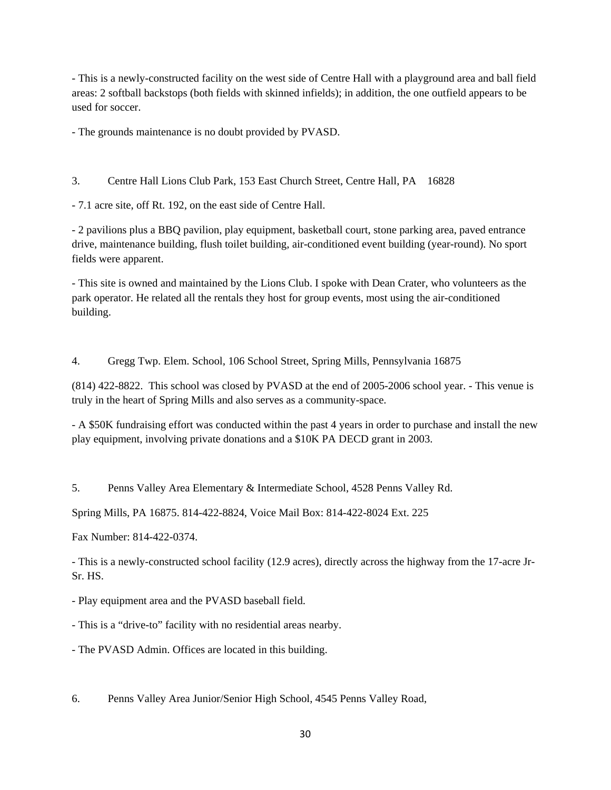- This is a newly-constructed facility on the west side of Centre Hall with a playground area and ball field areas: 2 softball backstops (both fields with skinned infields); in addition, the one outfield appears to be used for soccer.

- The grounds maintenance is no doubt provided by PVASD.

3. Centre Hall Lions Club Park, 153 East Church Street, Centre Hall, PA 16828

- 7.1 acre site, off Rt. 192, on the east side of Centre Hall.

- 2 pavilions plus a BBQ pavilion, play equipment, basketball court, stone parking area, paved entrance drive, maintenance building, flush toilet building, air-conditioned event building (year-round). No sport fields were apparent.

- This site is owned and maintained by the Lions Club. I spoke with Dean Crater, who volunteers as the park operator. He related all the rentals they host for group events, most using the air-conditioned building.

4. Gregg Twp. Elem. School, 106 School Street, Spring Mills, Pennsylvania 16875

(814) 422-8822. This school was closed by PVASD at the end of 2005-2006 school year. - This venue is truly in the heart of Spring Mills and also serves as a community-space.

- A \$50K fundraising effort was conducted within the past 4 years in order to purchase and install the new play equipment, involving private donations and a \$10K PA DECD grant in 2003.

5. Penns Valley Area Elementary & Intermediate School, 4528 Penns Valley Rd.

Spring Mills, PA 16875. 814-422-8824, Voice Mail Box: 814-422-8024 Ext. 225

Fax Number: 814-422-0374.

- This is a newly-constructed school facility (12.9 acres), directly across the highway from the 17-acre Jr-Sr. HS.

- Play equipment area and the PVASD baseball field.

- This is a "drive-to" facility with no residential areas nearby.

- The PVASD Admin. Offices are located in this building.

6. Penns Valley Area Junior/Senior High School, 4545 Penns Valley Road,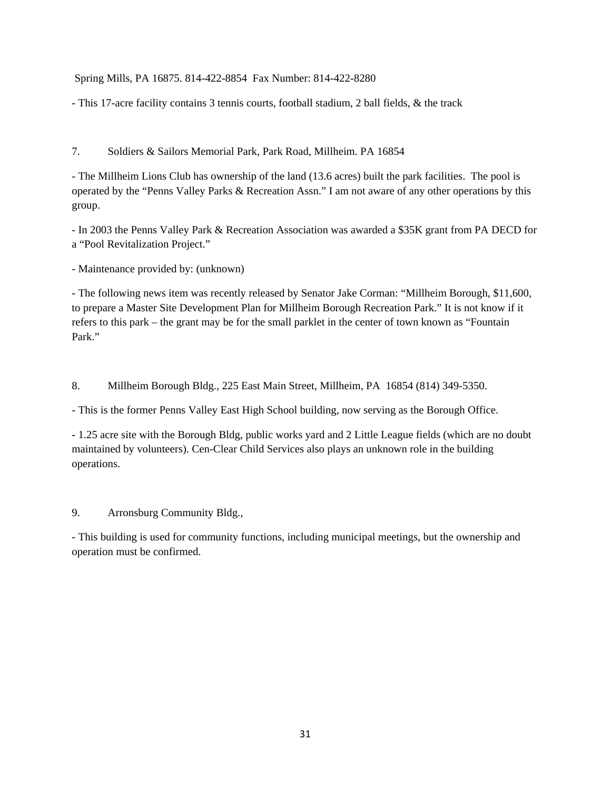Spring Mills, PA 16875. 814-422-8854 Fax Number: 814-422-8280

- This 17-acre facility contains 3 tennis courts, football stadium, 2 ball fields, & the track

7. Soldiers & Sailors Memorial Park, Park Road, Millheim. PA 16854

- The Millheim Lions Club has ownership of the land (13.6 acres) built the park facilities. The pool is operated by the "Penns Valley Parks & Recreation Assn." I am not aware of any other operations by this group.

- In 2003 the Penns Valley Park & Recreation Association was awarded a \$35K grant from PA DECD for a "Pool Revitalization Project."

- Maintenance provided by: (unknown)

- The following news item was recently released by Senator Jake Corman: "Millheim Borough, \$11,600, to prepare a Master Site Development Plan for Millheim Borough Recreation Park." It is not know if it refers to this park – the grant may be for the small parklet in the center of town known as "Fountain Park."

8. Millheim Borough Bldg., 225 East Main Street, Millheim, PA 16854 (814) 349-5350.

- This is the former Penns Valley East High School building, now serving as the Borough Office.

- 1.25 acre site with the Borough Bldg, public works yard and 2 Little League fields (which are no doubt maintained by volunteers). Cen-Clear Child Services also plays an unknown role in the building operations.

9. Arronsburg Community Bldg.,

- This building is used for community functions, including municipal meetings, but the ownership and operation must be confirmed.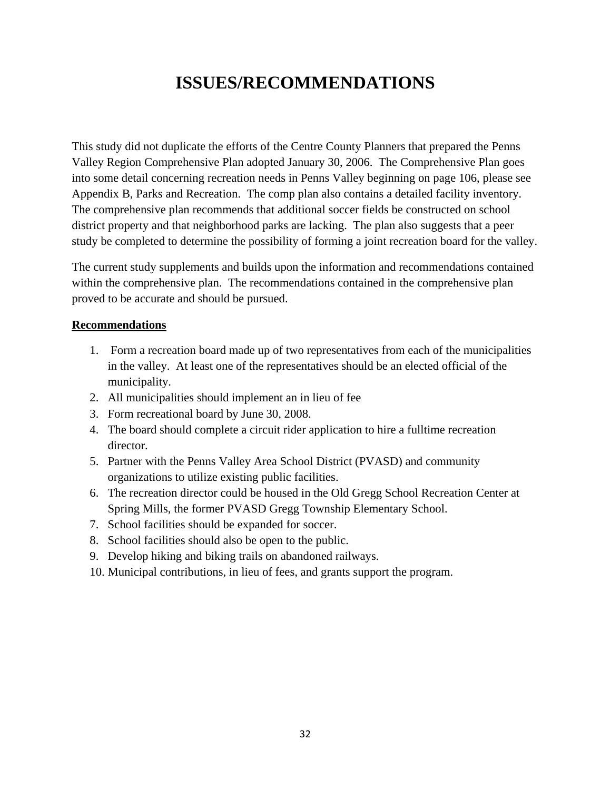# **ISSUES/RECOMMENDATIONS**

This study did not duplicate the efforts of the Centre County Planners that prepared the Penns Valley Region Comprehensive Plan adopted January 30, 2006. The Comprehensive Plan goes into some detail concerning recreation needs in Penns Valley beginning on page 106, please see Appendix B, Parks and Recreation. The comp plan also contains a detailed facility inventory. The comprehensive plan recommends that additional soccer fields be constructed on school district property and that neighborhood parks are lacking. The plan also suggests that a peer study be completed to determine the possibility of forming a joint recreation board for the valley.

The current study supplements and builds upon the information and recommendations contained within the comprehensive plan. The recommendations contained in the comprehensive plan proved to be accurate and should be pursued.

#### **Recommendations**

- 1. Form a recreation board made up of two representatives from each of the municipalities in the valley. At least one of the representatives should be an elected official of the municipality.
- 2. All municipalities should implement an in lieu of fee
- 3. Form recreational board by June 30, 2008.
- 4. The board should complete a circuit rider application to hire a fulltime recreation director.
- 5. Partner with the Penns Valley Area School District (PVASD) and community organizations to utilize existing public facilities.
- 6. The recreation director could be housed in the Old Gregg School Recreation Center at Spring Mills, the former PVASD Gregg Township Elementary School.
- 7. School facilities should be expanded for soccer.
- 8. School facilities should also be open to the public.
- 9. Develop hiking and biking trails on abandoned railways.
- 10. Municipal contributions, in lieu of fees, and grants support the program.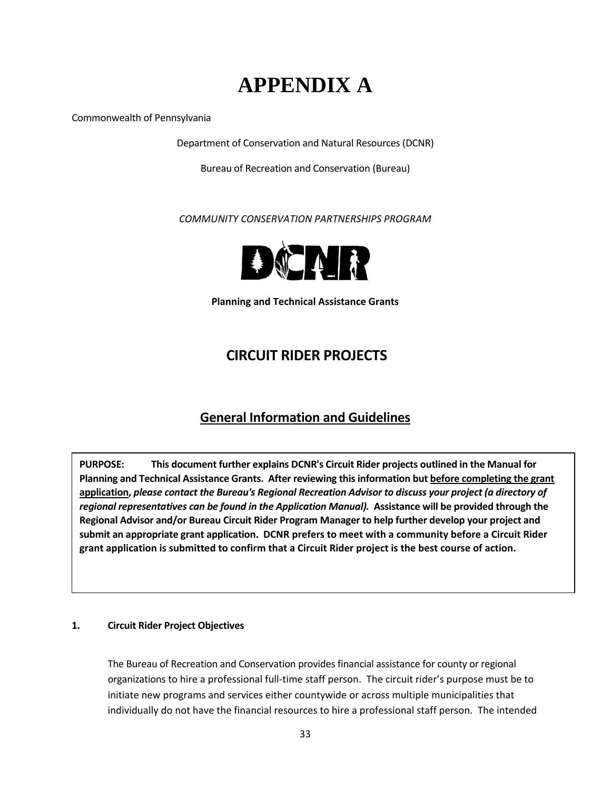# **APPENDIX A**

Commonwealth of Pennsylvania

Department of Conservation and Natural Resources (DCNR)

Bureau of Recreation and Conservation (Bureau)

*COMMUNITY CONSERVATION PARTNERSHIPS PROGRAM*



**Planning and Technical Assistance Grants**

## **CIRCUIT RIDER PROJECTS**

## **General Information and Guidelines**

**PURPOSE: This document further explains DCNR's Circuit Rider projects outlined in the Manual for Planning and Technical Assistance Grants. After reviewing thisinformation but before completing the grant application,** *please contact the Bureau's Regional Recreation Advisor to discuss your project (a directory of regional representatives can be found in the Application Manual).* **Assistance will be provided through the Regional Advisor and/or Bureau Circuit Rider Program Manager to help further develop your project and submit an appropriate grant application. DCNR prefers to meet with a community before a Circuit Rider** grant application is submitted to confirm that a Circuit Rider project is the best course of action.

#### **1. Circuit Rider Project Objectives**

The Bureau of Recreation and Conservation provides financial assistance for county or regional organizations to hire a professional full‐time staff person. The circuit rider's purpose must be to initiate new programs and services either countywide or across multiple municipalities that individually do not have the financial resources to hire a professional staff person. The intended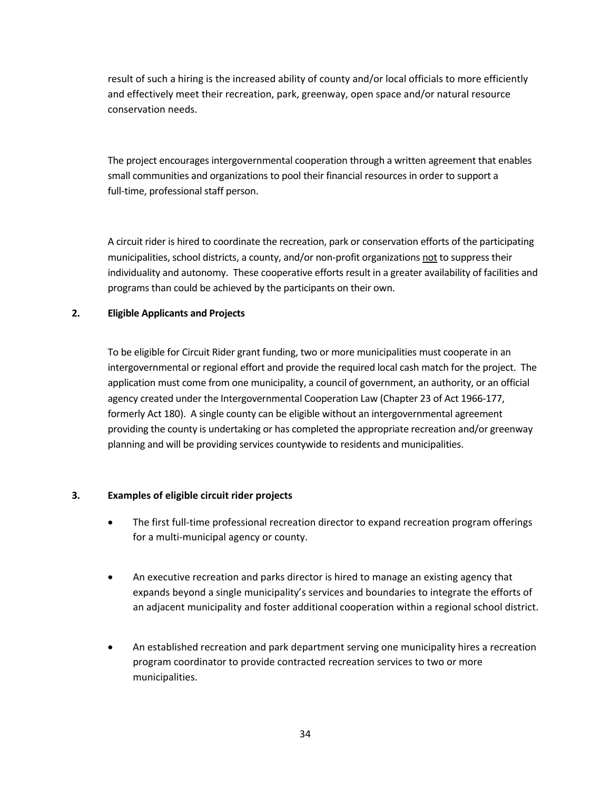result of such a hiring is the increased ability of county and/or local officials to more efficiently and effectively meet their recreation, park, greenway, open space and/or natural resource conservation needs.

The project encourages intergovernmental cooperation through a written agreement that enables small communities and organizations to pool their financial resources in order to support a full-time, professional staff person.

A circuit rider is hired to coordinate the recreation, park or conservation efforts of the participating municipalities, school districts, a county, and/or non-profit organizations not to suppress their individuality and autonomy. These cooperative efforts result in a greater availability of facilities and programs than could be achieved by the participants on their own.

#### **2. Eligible Applicants and Projects**

To be eligible for Circuit Rider grant funding, two or more municipalities must cooperate in an intergovernmental or regional effort and provide the required local cash match for the project. The application must come from one municipality, a council of government, an authority, or an official agency created under the Intergovernmental Cooperation Law (Chapter 23 of Act 1966‐177, formerly Act 180). A single county can be eligible without an intergovernmental agreement providing the county is undertaking or has completed the appropriate recreation and/or greenway planning and will be providing services countywide to residents and municipalities.

#### **3. Examples of eligible circuit rider projects**

- The first full-time professional recreation director to expand recreation program offerings for a multi‐municipal agency or county.
- An executive recreation and parks director is hired to manage an existing agency that expands beyond a single municipality's services and boundaries to integrate the efforts of an adjacent municipality and foster additional cooperation within a regional school district.
- An established recreation and park department serving one municipality hires a recreation program coordinator to provide contracted recreation services to two or more municipalities.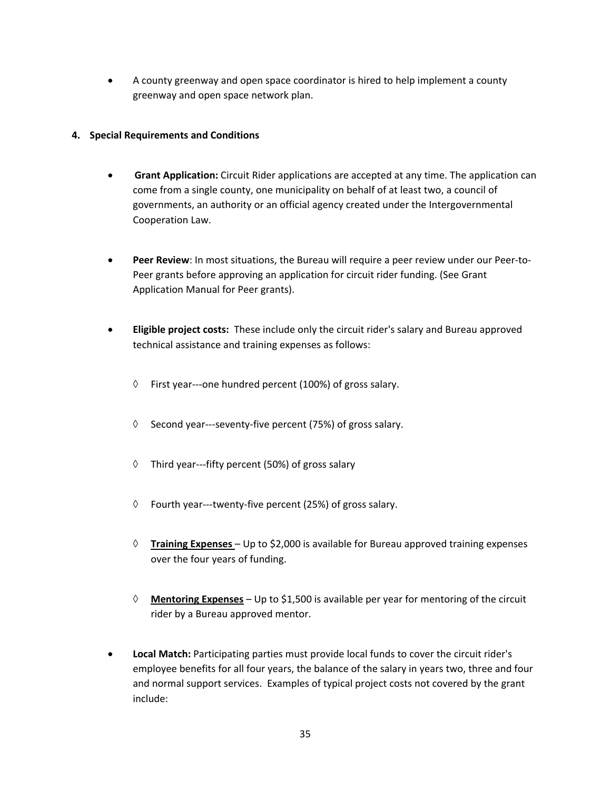• A county greenway and open space coordinator is hired to help implement a county greenway and open space network plan.

#### **4. Special Requirements and Conditions**

- **Grant Application:** Circuit Rider applications are accepted at any time. The application can come from a single county, one municipality on behalf of at least two, a council of governments, an authority or an official agency created under the Intergovernmental Cooperation Law.
- **Peer Review**: In most situations, the Bureau will require a peer review under our Peer-to-Peer grants before approving an application for circuit rider funding. (See Grant Application Manual for Peer grants).
- **Eligible project costs:** These include only the circuit rider's salary and Bureau approved technical assistance and training expenses as follows:
	- $\Diamond$  First year---one hundred percent (100%) of gross salary.
	- ◊ Second year‐‐‐seventy‐five percent (75%) of gross salary.
	- ◊ Third year‐‐‐fifty percent (50%) of gross salary
	- ◊ Fourth year‐‐‐twenty‐five percent (25%) of gross salary.
	- ◊ **Training Expenses** Up to \$2,000 is available for Bureau approved training expenses over the four years of funding.
	- ◊ **Mentoring Expenses** Up to \$1,500 is available per year for mentoring of the circuit rider by a Bureau approved mentor.
- **Local Match:** Participating parties must provide local funds to cover the circuit rider's employee benefits for all four years, the balance of the salary in years two, three and four and normal support services. Examples of typical project costs not covered by the grant include: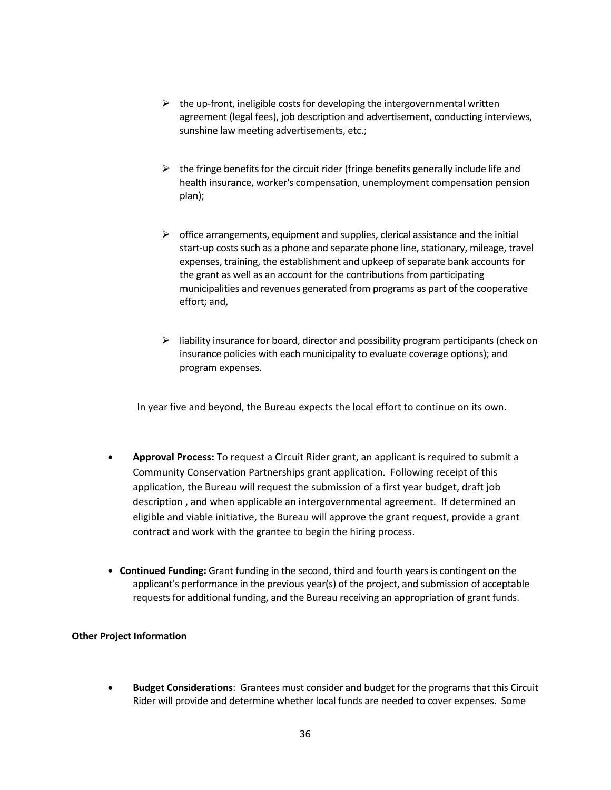- $\triangleright$  the up-front, ineligible costs for developing the intergovernmental written agreement (legal fees), job description and advertisement, conducting interviews, sunshine law meeting advertisements, etc.;
- $\triangleright$  the fringe benefits for the circuit rider (fringe benefits generally include life and health insurance, worker's compensation, unemployment compensation pension plan);
- $\triangleright$  office arrangements, equipment and supplies, clerical assistance and the initial start-up costs such as a phone and separate phone line, stationary, mileage, travel expenses, training, the establishment and upkeep of separate bank accounts for the grant as well as an account for the contributions from participating municipalities and revenues generated from programs as part of the cooperative effort; and,
- $\triangleright$  liability insurance for board, director and possibility program participants (check on insurance policies with each municipality to evaluate coverage options); and program expenses.

In year five and beyond, the Bureau expects the local effort to continue on its own.

- **Approval Process:** To request a Circuit Rider grant, an applicant is required to submit a Community Conservation Partnerships grant application. Following receipt of this application, the Bureau will request the submission of a first year budget, draft job description , and when applicable an intergovernmental agreement. If determined an eligible and viable initiative, the Bureau will approve the grant request, provide a grant contract and work with the grantee to begin the hiring process.
- **Continued Funding:** Grant funding in the second, third and fourth years is contingent on the applicant's performance in the previous year(s) of the project, and submission of acceptable requests for additional funding, and the Bureau receiving an appropriation of grant funds.

#### **Other Project Information**

• **Budget Considerations**: Grantees must consider and budget for the programs that this Circuit Rider will provide and determine whether local funds are needed to cover expenses. Some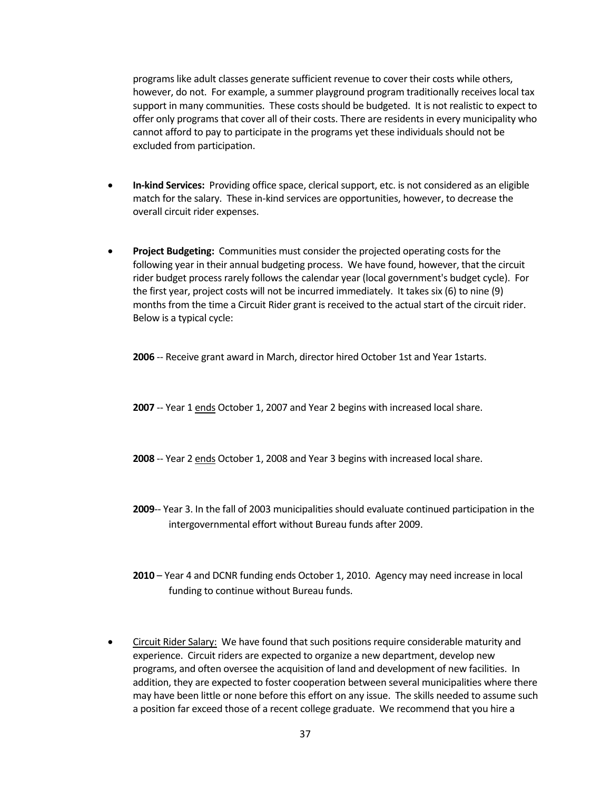programs like adult classes generate sufficient revenue to cover their costs while others, however, do not. For example, a summer playground program traditionally receives local tax support in many communities. These costs should be budgeted. It is not realistic to expect to offer only programs that cover all of their costs. There are residents in every municipality who cannot afford to pay to participate in the programs yet these individuals should not be excluded from participation.

- **In‐kind Services:** Providing office space, clerical support, etc. is not considered as an eligible match for the salary. These in‐kind services are opportunities, however, to decrease the overall circuit rider expenses.
- **Project Budgeting:** Communities must consider the projected operating costs for the following year in their annual budgeting process. We have found, however, that the circuit rider budget process rarely follows the calendar year (local government's budget cycle). For the first year, project costs will not be incurred immediately. It takes six (6) to nine (9) months from the time a Circuit Rider grant is received to the actual start of the circuit rider. Below is a typical cycle:

**2006** ‐‐ Receive grant award in March, director hired October 1st and Year 1starts.

**2007** -- Year 1 ends October 1, 2007 and Year 2 begins with increased local share.

- **2008** -- Year 2 ends October 1, 2008 and Year 3 begins with increased local share.
- **2009**‐‐ Year 3. In the fall of 2003 municipalities should evaluate continued participation in the intergovernmental effort without Bureau funds after 2009.
- **2010** Year 4 and DCNR funding ends October 1, 2010. Agency may need increase in local funding to continue without Bureau funds.
- Circuit Rider Salary: We have found that such positions require considerable maturity and experience. Circuit riders are expected to organize a new department, develop new programs, and often oversee the acquisition of land and development of new facilities. In addition, they are expected to foster cooperation between several municipalities where there may have been little or none before this effort on any issue. The skills needed to assume such a position far exceed those of a recent college graduate. We recommend that you hire a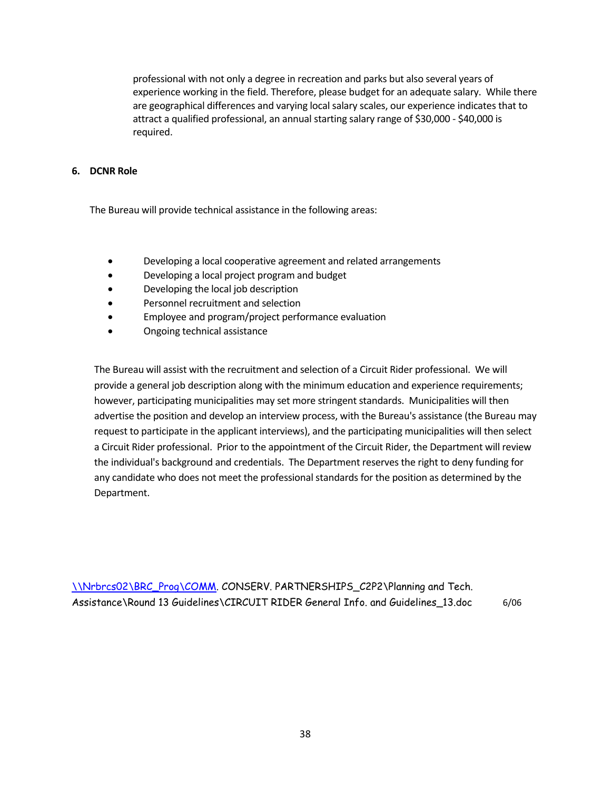professional with not only a degree in recreation and parks but also several years of experience working in the field. Therefore, please budget for an adequate salary. While there are geographical differences and varying local salary scales, our experience indicates that to attract a qualified professional, an annual starting salary range of \$30,000 ‐ \$40,000 is required.

#### **6. DCNR Role**

The Bureau will provide technical assistance in the following areas:

- Developing a local cooperative agreement and related arrangements
- Developing a local project program and budget
- Developing the local job description
- Personnel recruitment and selection
- Employee and program/project performance evaluation
- Ongoing technical assistance

 The Bureau will assist with the recruitment and selection of a Circuit Rider professional. We will provide a general job description along with the minimum education and experience requirements; however, participating municipalities may set more stringent standards. Municipalities will then advertise the position and develop an interview process, with the Bureau's assistance (the Bureau may request to participate in the applicant interviews), and the participating municipalities will then select a Circuit Rider professional. Prior to the appointment of the Circuit Rider, the Department will review the individual's background and credentials. The Department reserves the right to deny funding for any candidate who does not meet the professional standards for the position as determined by the Department.

\\Nrbrcs02\BRC\_Prog\COMM. CONSERV. PARTNERSHIPS\_C2P2\Planning and Tech. Assistance\Round 13 Guidelines\CIRCUIT RIDER General Info. and Guidelines\_13.doc 6/06